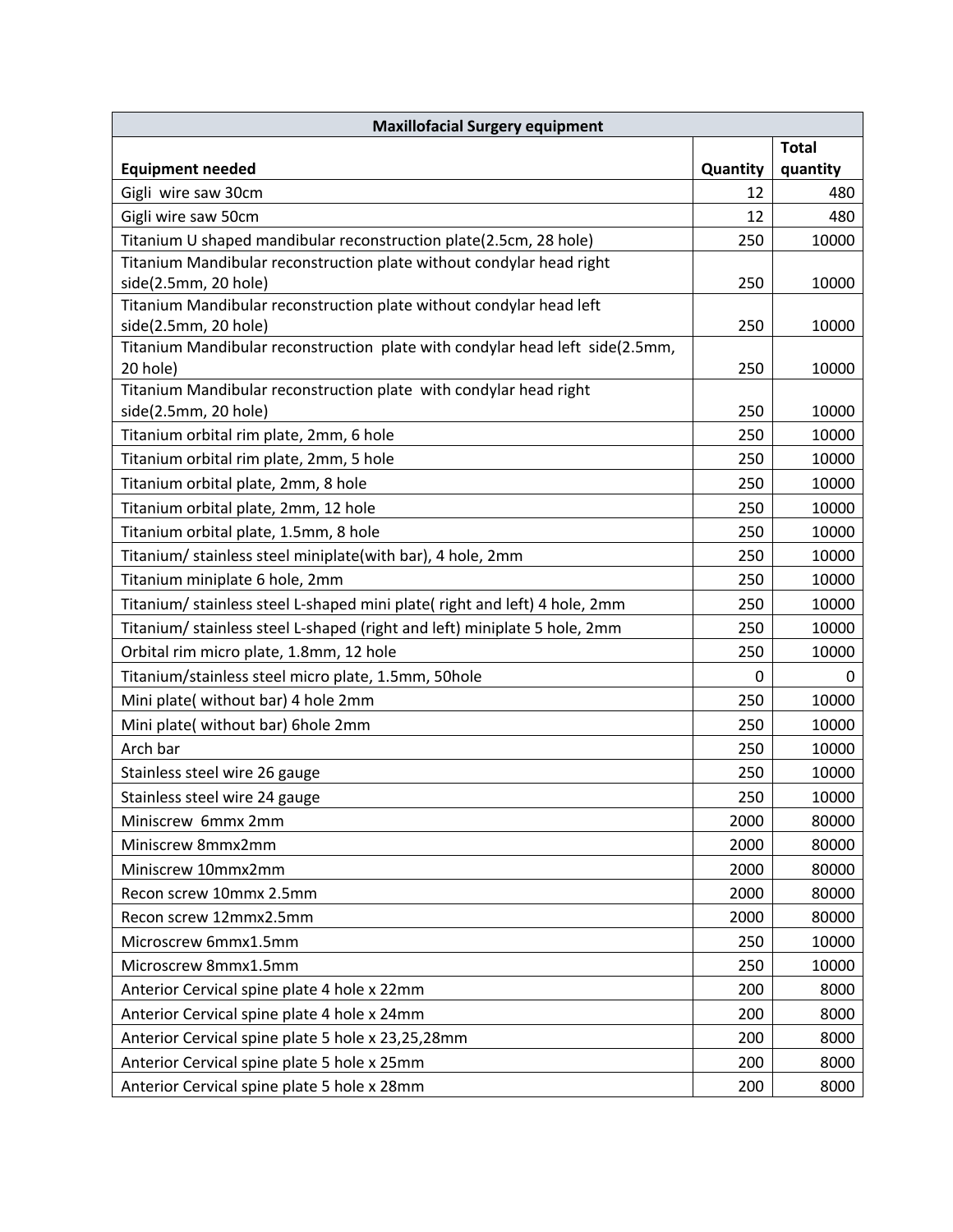| <b>Maxillofacial Surgery equipment</b>                                                               |          |              |
|------------------------------------------------------------------------------------------------------|----------|--------------|
|                                                                                                      |          | <b>Total</b> |
| <b>Equipment needed</b>                                                                              | Quantity | quantity     |
| Gigli wire saw 30cm                                                                                  | 12       | 480          |
| Gigli wire saw 50cm                                                                                  | 12       | 480          |
| Titanium U shaped mandibular reconstruction plate(2.5cm, 28 hole)                                    | 250      | 10000        |
| Titanium Mandibular reconstruction plate without condylar head right                                 |          |              |
| side(2.5mm, 20 hole)                                                                                 | 250      | 10000        |
| Titanium Mandibular reconstruction plate without condylar head left                                  |          |              |
| side(2.5mm, 20 hole)<br>Titanium Mandibular reconstruction plate with condylar head left side(2.5mm, | 250      | 10000        |
| 20 hole)                                                                                             | 250      | 10000        |
| Titanium Mandibular reconstruction plate with condylar head right                                    |          |              |
| side(2.5mm, 20 hole)                                                                                 | 250      | 10000        |
| Titanium orbital rim plate, 2mm, 6 hole                                                              | 250      | 10000        |
| Titanium orbital rim plate, 2mm, 5 hole                                                              | 250      | 10000        |
| Titanium orbital plate, 2mm, 8 hole                                                                  | 250      | 10000        |
| Titanium orbital plate, 2mm, 12 hole                                                                 | 250      | 10000        |
| Titanium orbital plate, 1.5mm, 8 hole                                                                | 250      | 10000        |
| Titanium/ stainless steel miniplate(with bar), 4 hole, 2mm                                           | 250      | 10000        |
| Titanium miniplate 6 hole, 2mm                                                                       | 250      | 10000        |
| Titanium/ stainless steel L-shaped mini plate( right and left) 4 hole, 2mm                           | 250      | 10000        |
| Titanium/ stainless steel L-shaped (right and left) miniplate 5 hole, 2mm                            | 250      | 10000        |
| Orbital rim micro plate, 1.8mm, 12 hole                                                              | 250      | 10000        |
| Titanium/stainless steel micro plate, 1.5mm, 50hole                                                  | 0        | 0            |
| Mini plate( without bar) 4 hole 2mm                                                                  | 250      | 10000        |
| Mini plate( without bar) 6hole 2mm                                                                   | 250      | 10000        |
| Arch bar                                                                                             | 250      | 10000        |
| Stainless steel wire 26 gauge                                                                        | 250      | 10000        |
| Stainless steel wire 24 gauge                                                                        | 250      | 10000        |
| Miniscrew 6mmx 2mm                                                                                   | 2000     | 80000        |
| Miniscrew 8mmx2mm                                                                                    | 2000     | 80000        |
| Miniscrew 10mmx2mm                                                                                   | 2000     | 80000        |
| Recon screw 10mmx 2.5mm                                                                              | 2000     | 80000        |
| Recon screw 12mmx2.5mm                                                                               | 2000     | 80000        |
| Microscrew 6mmx1.5mm                                                                                 | 250      | 10000        |
| Microscrew 8mmx1.5mm                                                                                 | 250      | 10000        |
| Anterior Cervical spine plate 4 hole x 22mm                                                          | 200      | 8000         |
| Anterior Cervical spine plate 4 hole x 24mm                                                          | 200      | 8000         |
| Anterior Cervical spine plate 5 hole x 23,25,28mm                                                    | 200      | 8000         |
| Anterior Cervical spine plate 5 hole x 25mm                                                          | 200      | 8000         |
| Anterior Cervical spine plate 5 hole x 28mm                                                          | 200      | 8000         |